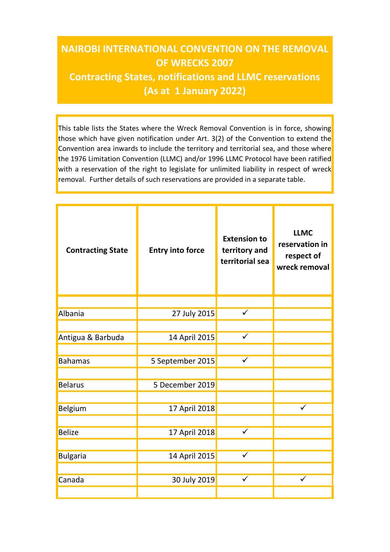## NAIROBI INTERNATIONAL CONVENTION ON THE REMOVAL OF WRECKS 2007 Contracting States, notifications and LLMC reservations (As at 1 January 2022)

This table lists the States where the Wreck Removal Convention is in force, showing those which have given notification under Art. 3(2) of the Convention to extend the Convention area inwards to include the territory and territorial sea, and those where the 1976 Limitation Convention (LLMC) and/or 1996 LLMC Protocol have been ratified with a reservation of the right to legislate for unlimited liability in respect of wreck removal. Further details of such reservations are provided in a separate table.

| <b>Contracting State</b> | <b>Entry into force</b> | <b>Extension to</b><br>territory and<br>territorial sea | <b>LLMC</b><br>reservation in<br>respect of<br>wreck removal |
|--------------------------|-------------------------|---------------------------------------------------------|--------------------------------------------------------------|
|                          |                         |                                                         |                                                              |
| Albania                  | 27 July 2015            | $\checkmark$                                            |                                                              |
|                          |                         |                                                         |                                                              |
| Antigua & Barbuda        | 14 April 2015           | $\checkmark$                                            |                                                              |
| <b>Bahamas</b>           |                         | $\checkmark$                                            |                                                              |
|                          | 5 September 2015        |                                                         |                                                              |
| <b>Belarus</b>           | 5 December 2019         |                                                         |                                                              |
|                          |                         |                                                         |                                                              |
| Belgium                  | 17 April 2018           |                                                         | $\checkmark$                                                 |
|                          |                         |                                                         |                                                              |
| <b>Belize</b>            | 17 April 2018           | $\checkmark$                                            |                                                              |
|                          |                         |                                                         |                                                              |
| <b>Bulgaria</b>          | 14 April 2015           | $\checkmark$                                            |                                                              |
|                          |                         |                                                         |                                                              |
| Canada                   | 30 July 2019            | $\checkmark$                                            | $\checkmark$                                                 |
|                          |                         |                                                         |                                                              |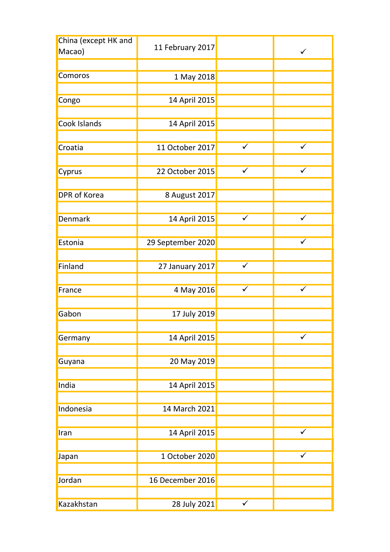| China (except HK and<br>Macao) | 11 February 2017  |              | $\checkmark$ |
|--------------------------------|-------------------|--------------|--------------|
|                                |                   |              |              |
| Comoros                        | 1 May 2018        |              |              |
|                                |                   |              |              |
| Congo                          | 14 April 2015     |              |              |
|                                |                   |              |              |
| Cook Islands                   | 14 April 2015     |              |              |
|                                |                   |              |              |
| Croatia                        | 11 October 2017   | $\checkmark$ | $\checkmark$ |
|                                |                   |              |              |
| Cyprus                         | 22 October 2015   | $\checkmark$ | $\checkmark$ |
|                                |                   |              |              |
| <b>DPR</b> of Korea            | 8 August 2017     |              |              |
|                                |                   |              |              |
| Denmark                        | 14 April 2015     | $\checkmark$ | $\checkmark$ |
|                                |                   |              |              |
| Estonia                        | 29 September 2020 |              | $\checkmark$ |
|                                |                   |              |              |
| Finland                        | 27 January 2017   | $\checkmark$ |              |
|                                |                   |              |              |
| France                         | 4 May 2016        | $\checkmark$ | $\checkmark$ |
|                                |                   |              |              |
| Gabon                          | 17 July 2019      |              |              |
|                                |                   |              |              |
| Germany                        | 14 April 2015     |              | $\checkmark$ |
|                                |                   |              |              |
|                                | 20 May 2019       |              |              |
| Guyana                         |                   |              |              |
| India                          |                   |              |              |
|                                | 14 April 2015     |              |              |
|                                | 14 March 2021     |              |              |
| Indonesia                      |                   |              |              |
|                                |                   |              |              |
| Iran                           | 14 April 2015     |              | $\checkmark$ |
|                                |                   |              |              |
| Japan                          | 1 October 2020    |              | $\checkmark$ |
|                                |                   |              |              |
| Jordan                         | 16 December 2016  |              |              |
|                                |                   |              |              |
| Kazakhstan                     | 28 July 2021      | $\sqrt{ }$   |              |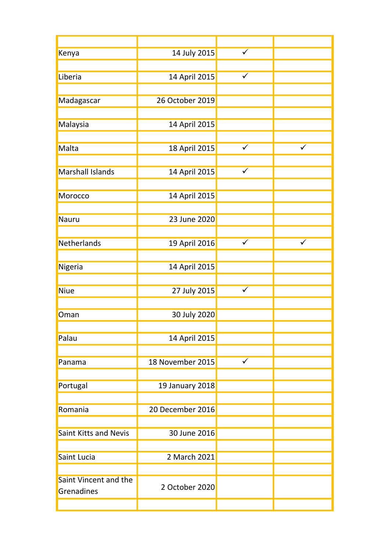| Kenya                        | 14 July 2015     | $\checkmark$            |              |
|------------------------------|------------------|-------------------------|--------------|
|                              |                  |                         |              |
| Liberia                      | 14 April 2015    | $\checkmark$            |              |
|                              |                  |                         |              |
| Madagascar                   | 26 October 2019  |                         |              |
|                              |                  |                         |              |
| Malaysia                     | 14 April 2015    |                         |              |
|                              |                  |                         |              |
| Malta                        | 18 April 2015    | $\checkmark$            | $\checkmark$ |
|                              |                  |                         |              |
| Marshall Islands             | 14 April 2015    | $\checkmark$            |              |
|                              |                  |                         |              |
| Morocco                      | 14 April 2015    |                         |              |
|                              |                  |                         |              |
| Nauru                        | 23 June 2020     |                         |              |
|                              |                  |                         |              |
| Netherlands                  | 19 April 2016    | $\checkmark$            | $\checkmark$ |
|                              |                  |                         |              |
| Nigeria                      | 14 April 2015    |                         |              |
|                              |                  |                         |              |
| Niue                         | 27 July 2015     | $\overline{\checkmark}$ |              |
|                              |                  |                         |              |
| Oman                         | 30 July 2020     |                         |              |
|                              |                  |                         |              |
| Palau                        | 14 April 2015    |                         |              |
|                              |                  |                         |              |
| Panama                       | 18 November 2015 | $\checkmark$            |              |
|                              |                  |                         |              |
| Portugal                     | 19 January 2018  |                         |              |
|                              |                  |                         |              |
| Romania                      | 20 December 2016 |                         |              |
|                              |                  |                         |              |
| <b>Saint Kitts and Nevis</b> | 30 June 2016     |                         |              |
|                              |                  |                         |              |
| Saint Lucia                  | 2 March 2021     |                         |              |
| Saint Vincent and the        |                  |                         |              |
| Grenadines                   | 2 October 2020   |                         |              |
|                              |                  |                         |              |
|                              |                  |                         |              |